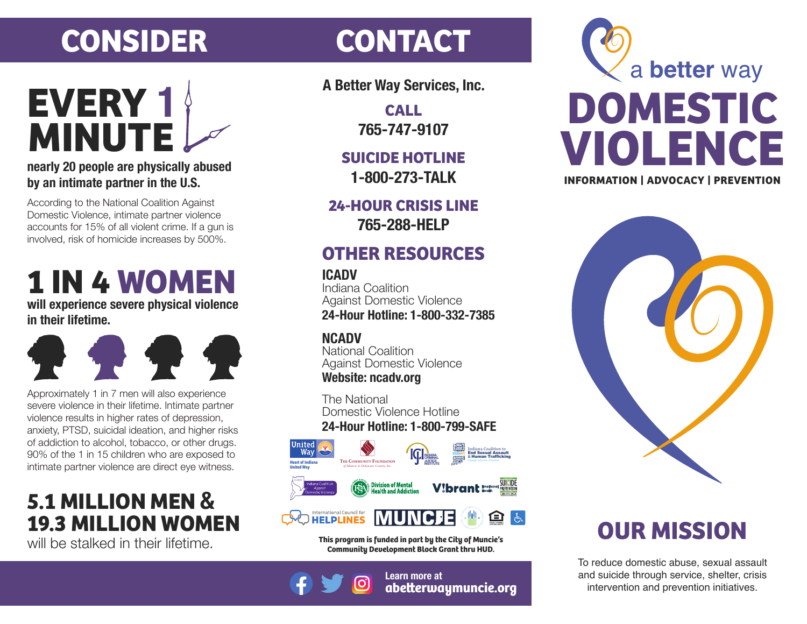## **CONSIDER CONTACT**

# **MINUTE EVERY 1**

#### **nearly 20 people are physically abused by an intimate partner in the U.S.**

According to the National Coalition Against Domestic Violence, intimate partner violence accounts for 15% of all violent crime. If a gun is involved, risk of homicide increases by 500%.

## **1 IN 4 WOMEN**

**will experience severe physical violence in their lifetime.**



Approximately 1 in 7 men will also experience severe violence in their lifetime. Intimate partner violence results in higher rates of depression, anxiety, PTSD, suicidal ideation, and higher risks of addiction to alcohol, tobacco, or other drugs. 90% of the 1 in 15 children who are exposed to intimate partner violence are direct eye witness.

### **19.3 MILLION WOMEN 5.1 MILLION MEN &**

will be stalked in their lifetime.

**A Better Way Services, Inc.**

**CALL 765-747-9107**

**SUICIDE HOTLINE 1-800-273-TALK**

**24-HOUR CRISIS LINE 765-288-HELP**

### **OTHER RESOURCES**

#### **ICADV**

Indiana Coalition Against Domestic Violence **24-Hour Hotline: 1-800-332-7385**

#### **NCADV**

National Coalition Against Domestic Violence **Website: ncadv.org**

The National Domestic Violence Hotline **24-Hour Hotline: 1-800-799-SAFE**



**This program is funded in part by the City of Muncie's Community Development Block Grant thru HUD.**



**Learn more at abeerwaymuncie.org**





### **OUR MISSION**

To reduce domestic abuse, sexual assault and suicide through service, shelter, crisis intervention and prevention initiatives.